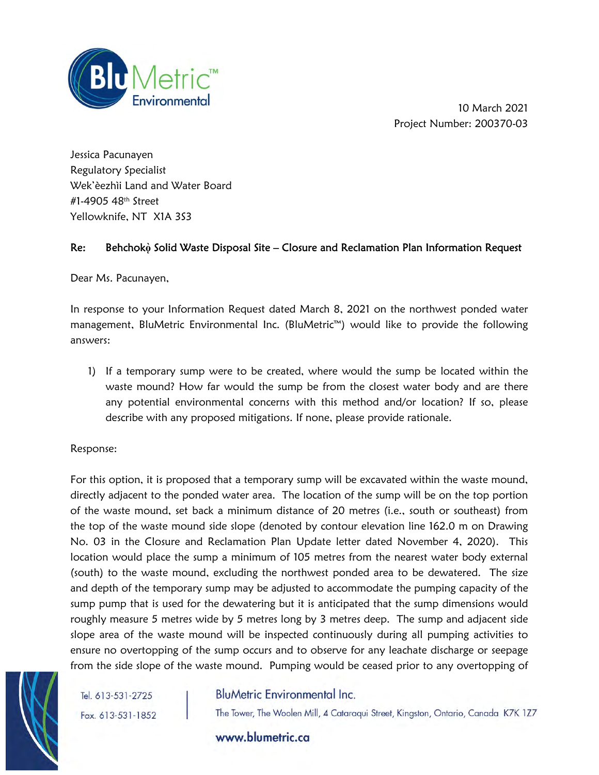

10 March 2021 Project Number: 200370-03

Jessica Pacunayen Regulatory Specialist Wek'èezhìi Land and Water Board #1-4905 48th Street Yellowknife, NT X1A 3S3

## Re: Behchok<sub>?</sub> Solid Waste Disposal Site – Closure and Reclamation Plan Information Request

Dear Ms. Pacunayen,

In response to your Information Request dated March 8, 2021 on the northwest ponded water management, BluMetric Environmental Inc. (BluMetric™) would like to provide the following answers:

1) If a temporary sump were to be created, where would the sump be located within the waste mound? How far would the sump be from the closest water body and are there any potential environmental concerns with this method and/or location? If so, please describe with any proposed mitigations. If none, please provide rationale.

Response:

For this option, it is proposed that a temporary sump will be excavated within the waste mound, directly adjacent to the ponded water area. The location of the sump will be on the top portion of the waste mound, set back a minimum distance of 20 metres (i.e., south or southeast) from the top of the waste mound side slope (denoted by contour elevation line 162.0 m on Drawing No. 03 in the Closure and Reclamation Plan Update letter dated November 4, 2020). This location would place the sump a minimum of 105 metres from the nearest water body external (south) to the waste mound, excluding the northwest ponded area to be dewatered. The size and depth of the temporary sump may be adjusted to accommodate the pumping capacity of the sump pump that is used for the dewatering but it is anticipated that the sump dimensions would roughly measure 5 metres wide by 5 metres long by 3 metres deep. The sump and adjacent side slope area of the waste mound will be inspected continuously during all pumping activities to ensure no overtopping of the sump occurs and to observe for any leachate discharge or seepage from the side slope of the waste mound. Pumping would be ceased prior to any overtopping of



Tel. 613-531-2725 Fax. 613-531-1852

# **BluMetric Environmental Inc.**

The Tower, The Woolen Mill, 4 Cataraqui Street, Kingston, Ontario, Canada K7K 1Z7

www.blumetric.ca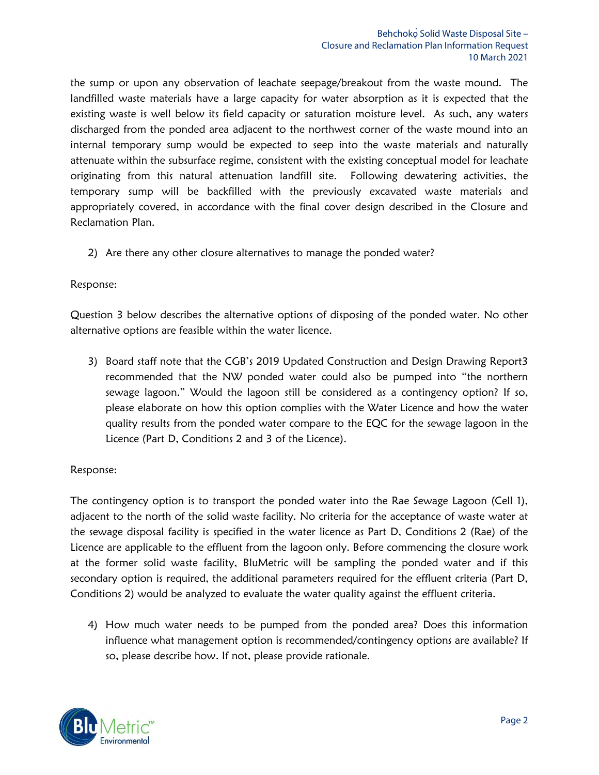the sump or upon any observation of leachate seepage/breakout from the waste mound. The landfilled waste materials have a large capacity for water absorption as it is expected that the existing waste is well below its field capacity or saturation moisture level. As such, any waters discharged from the ponded area adjacent to the northwest corner of the waste mound into an internal temporary sump would be expected to seep into the waste materials and naturally attenuate within the subsurface regime, consistent with the existing conceptual model for leachate originating from this natural attenuation landfill site. Following dewatering activities, the temporary sump will be backfilled with the previously excavated waste materials and appropriately covered, in accordance with the final cover design described in the Closure and Reclamation Plan.

2) Are there any other closure alternatives to manage the ponded water?

#### Response:

Question 3 below describes the alternative options of disposing of the ponded water. No other alternative options are feasible within the water licence.

3) Board staff note that the CGB's 2019 Updated Construction and Design Drawing Report3 recommended that the NW ponded water could also be pumped into "the northern sewage lagoon." Would the lagoon still be considered as a contingency option? If so, please elaborate on how this option complies with the Water Licence and how the water quality results from the ponded water compare to the EQC for the sewage lagoon in the Licence (Part D, Conditions 2 and 3 of the Licence).

#### Response:

The contingency option is to transport the ponded water into the Rae Sewage Lagoon (Cell 1), adjacent to the north of the solid waste facility. No criteria for the acceptance of waste water at the sewage disposal facility is specified in the water licence as Part D, Conditions 2 (Rae) of the Licence are applicable to the effluent from the lagoon only. Before commencing the closure work at the former solid waste facility, BluMetric will be sampling the ponded water and if this secondary option is required, the additional parameters required for the effluent criteria (Part D, Conditions 2) would be analyzed to evaluate the water quality against the effluent criteria.

4) How much water needs to be pumped from the ponded area? Does this information influence what management option is recommended/contingency options are available? If so, please describe how. If not, please provide rationale.